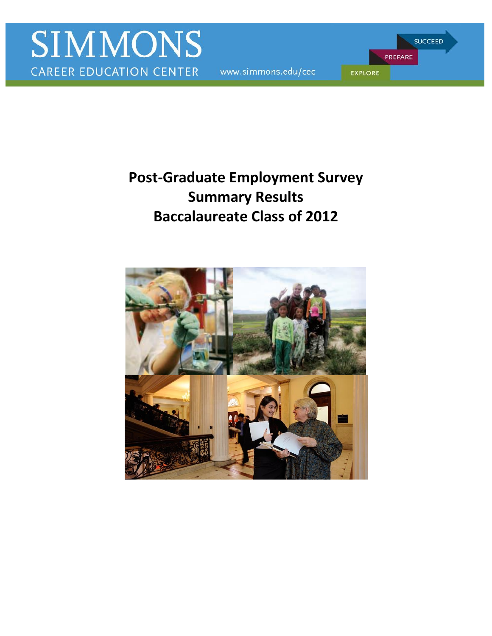www.simmons.edu/cec

PREPARE **EXPLORE** 

**SUCCEED** 

# **Summary Results Post-Graduate Employment Survey Baccalaureate Class of 2012**

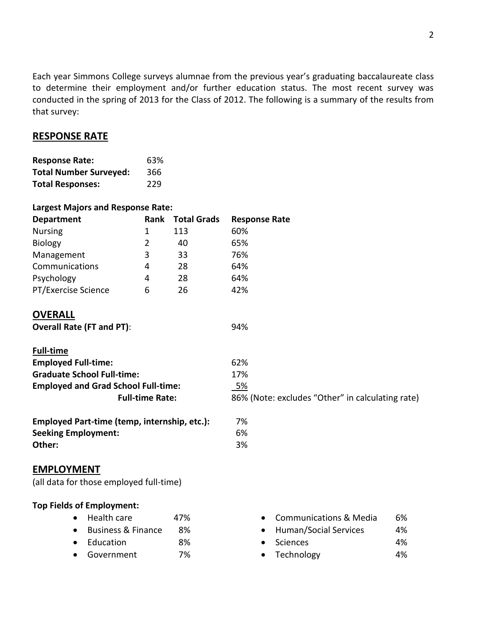Each year Simmons College surveys alumnae from the previous year's graduating baccalaureate class to determine their employment and/or further education status. The most recent survey was conducted in the spring of 2013 for the Class of 2012. The following is a summary of the results from that survey:

## **RESPONSE RATE**

| <b>Response Rate:</b>         | 63% |
|-------------------------------|-----|
| <b>Total Number Surveyed:</b> | 366 |
| <b>Total Responses:</b>       | 229 |

#### **Largest Majors and Response Rate:**

| <b>Department</b>   | Rank | <b>Total Grads</b> | <b>Response Rate</b> |
|---------------------|------|--------------------|----------------------|
| <b>Nursing</b>      |      | 113                | 60%                  |
| <b>Biology</b>      |      | 40                 | 65%                  |
| Management          | 3    | 33                 | 76%                  |
| Communications      | 4    | 28                 | 64%                  |
| Psychology          | 4    | 28                 | 64%                  |
| PT/Exercise Science | 6    | 26                 | 42%                  |

## **OVERALL**

**Overall Rate (FT and PT)**: 94%

| <b>Full-time</b>                           |                                                  |
|--------------------------------------------|--------------------------------------------------|
| <b>Employed Full-time:</b>                 | 62%                                              |
| <b>Graduate School Full-time:</b>          | 17%                                              |
| <b>Employed and Grad School Full-time:</b> | <u>5%</u>                                        |
| <b>Full-time Rate:</b>                     | 86% (Note: excludes "Other" in calculating rate) |
|                                            |                                                  |

| Employed Part-time (temp, internship, etc.): | 7% |
|----------------------------------------------|----|
| <b>Seeking Employment:</b>                   | 6% |
| Other:                                       | 3% |

## **EMPLOYMENT**

(all data for those employed full-time)

#### **Top Fields of Employment:**

- Business & Finance
- Education 8% Sciences 4%
- 
- Health care 47%  **Communications & Media** 6%
	- 8%  **Human/Social Services** 4%
		- Sciences
- Government 7% Technology 4%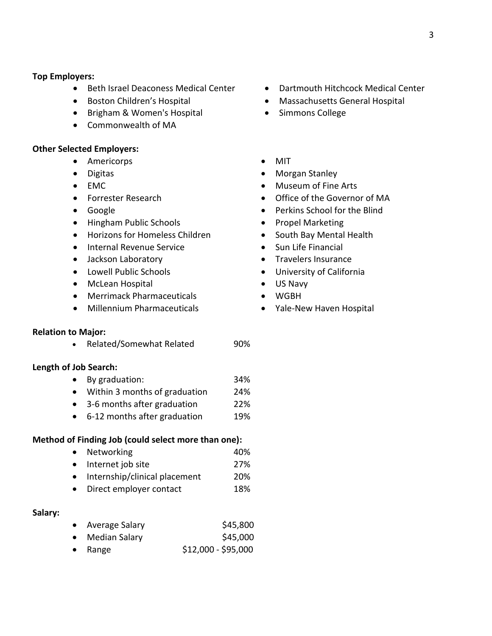#### **Top Employers:**

- **•** Beth Israel Deaconess Medical Center
- Boston Children's Hospital
- Brigham & Women's Hospital
- Commonwealth of MA

#### **Other Selected Employers:**

- Americorps
- Digitas
- $\bullet$  EMC
- **•** Forrester Research
- Google
- Hingham Public Schools
- Horizons for Homeless Children
- **•** Internal Revenue Service
- Jackson Laboratory
- Lowell Public Schools
- McLean Hospital
- Merrimack Pharmaceuticals
- Millennium Pharmaceuticals

#### **Relation to Major:**

• Related/Somewhat Related 90%

#### **Length of Job Search:**

- By graduation: 34%
- Within 3 months of graduation 24%
- 3-6 months after graduation 22%
- 6-12 months after graduation 19%

#### **Method of Finding Job (could select more than one):**

- Networking 20%
- Internet job site 27%
- Internship/clinical placement 20%
- Direct employer contact 18%

#### **Salary:**

| Average Salary | \$45,800 |
|----------------|----------|
|                |          |

- Median Salary **\$45,000**
- $\bullet$  Range  $$12,000 - $95,000$
- Dartmouth Hitchcock Medical Center
- Massachusetts General Hospital
- Simmons College
- MIT
- Morgan Stanley
- Museum of Fine Arts
- Office of the Governor of MA
- Perkins School for the Blind
- Propel Marketing
- South Bay Mental Health
- Sun Life Financial
- Travelers Insurance
- University of California
- US Navy
- WGBH
- Yale-New Haven Hospital